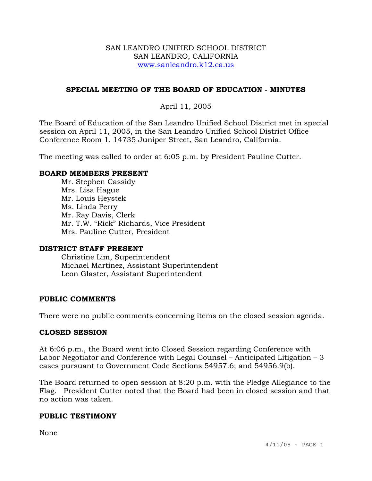#### SAN LEANDRO UNIFIED SCHOOL DISTRICT SAN LEANDRO, CALIFORNIA www.sanleandro.k12.ca.us

## **SPECIAL MEETING OF THE BOARD OF EDUCATION - MINUTES**

# April 11, 2005

The Board of Education of the San Leandro Unified School District met in special session on April 11, 2005, in the San Leandro Unified School District Office Conference Room 1, 14735 Juniper Street, San Leandro, California.

The meeting was called to order at 6:05 p.m. by President Pauline Cutter.

#### **BOARD MEMBERS PRESENT**

 Mr. Stephen Cassidy Mrs. Lisa Hague Mr. Louis Heystek Ms. Linda Perry Mr. Ray Davis, Clerk Mr. T.W. "Rick" Richards, Vice President Mrs. Pauline Cutter, President

#### **DISTRICT STAFF PRESENT**

Christine Lim, Superintendent Michael Martinez, Assistant Superintendent Leon Glaster, Assistant Superintendent

## **PUBLIC COMMENTS**

There were no public comments concerning items on the closed session agenda.

## **CLOSED SESSION**

At 6:06 p.m., the Board went into Closed Session regarding Conference with Labor Negotiator and Conference with Legal Counsel – Anticipated Litigation – 3 cases pursuant to Government Code Sections 54957.6; and 54956.9(b).

The Board returned to open session at 8:20 p.m. with the Pledge Allegiance to the Flag. President Cutter noted that the Board had been in closed session and that no action was taken.

## **PUBLIC TESTIMONY**

None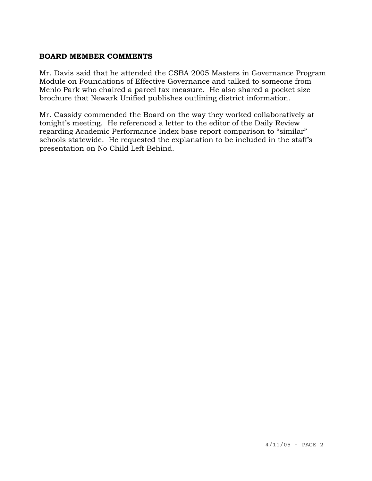#### **BOARD MEMBER COMMENTS**

Mr. Davis said that he attended the CSBA 2005 Masters in Governance Program Module on Foundations of Effective Governance and talked to someone from Menlo Park who chaired a parcel tax measure. He also shared a pocket size brochure that Newark Unified publishes outlining district information.

Mr. Cassidy commended the Board on the way they worked collaboratively at tonight's meeting. He referenced a letter to the editor of the Daily Review regarding Academic Performance Index base report comparison to "similar" schools statewide. He requested the explanation to be included in the staff's presentation on No Child Left Behind.